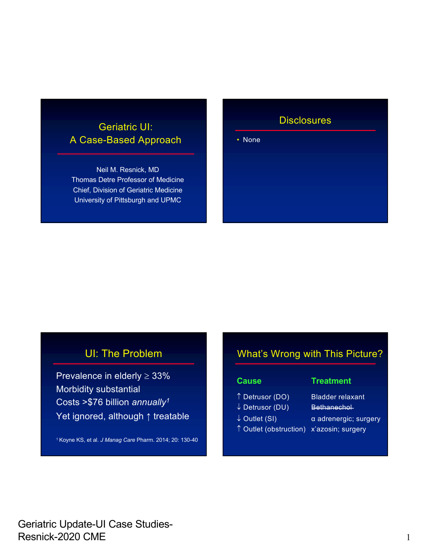### Geriatric UI: A Case-Based Approach

Neil M. Resnick, MD Thomas Detre Professor of Medicine Chief, Division of Geriatric Medicine University of Pittsburgh and UPMC

#### **Disclosures**

• None

### UI: The Problem

Prevalence in elderly  $\geq 33\%$ Morbidity substantial Costs >\$76 billion *annually1* Yet ignored, although ↑ treatable

1 Koyne KS, et al. *J Manag Care* Pharm. 2014; 20: 130-40

#### What's Wrong with This Picture?

#### **Cause Treatment**

- Detrusor (DO) Bladder relaxant
- ↓ Detrusor (DU) Bethanechol-
- 
- Outlet (obstruction) x'azosin; surgery
- ↓ Outlet (SI) a adrenergic; surgery
	-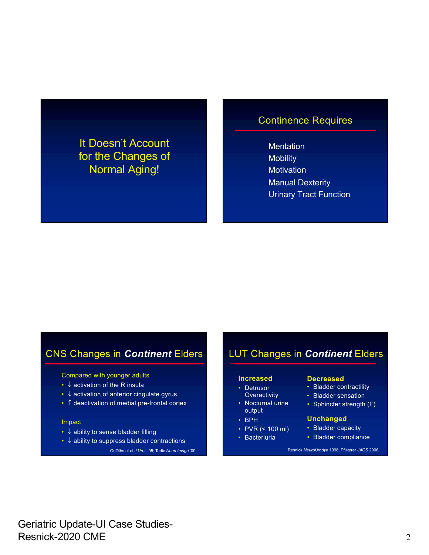### It Doesn't Account for the Changes of Normal Aging!

#### Continence Requires

**Mentation Mobility Motivation** Manual Dexterity Urinary Tract Function

### CNS Changes in *Continent* Elders

Compared with younger adults

- $\downarrow$  activation of the R insula
- $\cdot$   $\downarrow$  activation of anterior cingulate gyrus
- $\cdot$   $\uparrow$  deactivation of medial pre-frontal cortex

#### Impact

- $\downarrow$  ability to sense bladder filling
- $\cdot$   $\downarrow$  ability to suppress bladder contractions

Griffiths et al *J Urol* '05; Tadic *Neuroimage* '09

### LUT Changes in *Continent* Elders

#### **Increased**

- Detrusor
- **Overactivity** • Nocturnal urine
- output • BPH
- PVR (< 100 ml)
- Bacteriuria
- **Decreased**
- Bladder contractility
- Bladder sensation
- Sphincter strength (F)

#### **Unchanged**

- Bladder capacity
- Bladder compliance

Resnick *NeuroUrodyn* 1996, Pfisterer *JAGS* 2006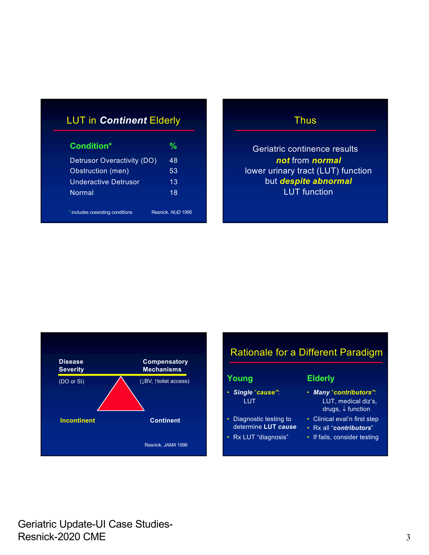### LUT in *Continent* Elderly

| Condition*                     | ℆                 |
|--------------------------------|-------------------|
| Detrusor Overactivity (DO)     | 48                |
| Obstruction (men)              | 53                |
| Underactive Detrusor           | 13                |
| <b>Normal</b>                  | 18                |
|                                |                   |
| includes coexisting conditions | Resnick, NUD 1995 |

#### **Thus**

Geriatric continence results *not* from *normal* lower urinary tract (LUT) function but *despite abnormal* LUT function



### Rationale for a Different Paradigm

#### **Young**

• *Single* "*cause"*: LUT

• Diagnostic testing to determine **LUT** *cause* • Rx LUT "diagnosis"

#### **Elderly**

- *Many* "*contributors"*: LUT, medical diz's, drugs,  $\downarrow$  function
- Clinical eval'n first step
- Rx all "*contributors*"
- If fails, consider testing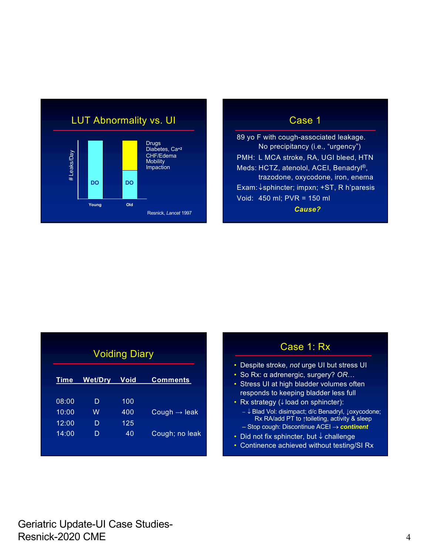

89 yo F with cough-associated leakage. No precipitancy (i.e., "urgency") PMH: L MCA stroke, RA, UGI bleed, HTN Meds: HCTZ, atenolol, ACEI, Benadryl®, trazodone, oxycodone, iron, enema Exam: ↓sphincter; impxn; +ST, R h'paresis Void: 450 ml; PVR = 150 ml *Cause?*

| <b>Voiding Diary</b> |                |      |                          |
|----------------------|----------------|------|--------------------------|
| Time                 | <b>Wet/Dry</b> | Void | <b>Comments</b>          |
| 08:00                | D              | 100  |                          |
| 10:00                | W              | 400  | Cough $\rightarrow$ leak |
| 12:00                | D              | 125  |                          |
| 14:00                | D              | 40   | Cough; no leak           |

| Case 1: Rx                                                                                         |
|----------------------------------------------------------------------------------------------------|
| • Despite stroke, not urge UI but stress UI                                                        |
| • So Rx: α adrenergic, surgery? OR                                                                 |
| • Stress UI at high bladder volumes often                                                          |
| responds to keeping bladder less full                                                              |
| • Rx strategy (↓ load on sphincter):                                                               |
| - ↓ Blad Vol: disimpact; d/c Benadryl, Joxycodone;<br>Rx RA/add PT to ↑toileting, activity & sleep |
| - Stop cough: Discontinue ACEI $\rightarrow$ continent                                             |
| • Did not fix sphincter, but $\downarrow$ challenge                                                |

• Continence achieved without testing/SI Rx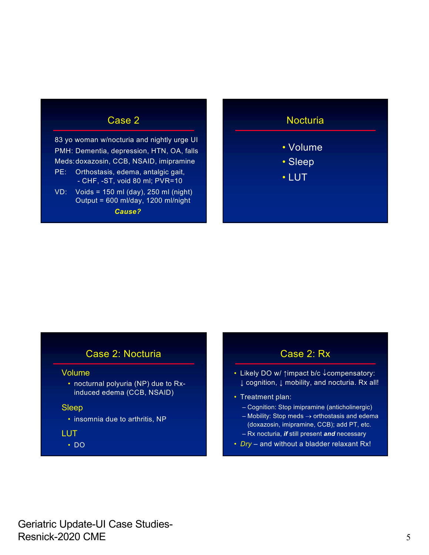83 yo woman w/nocturia and nightly urge UI PMH: Dementia, depression, HTN, OA, falls Meds:doxazosin, CCB, NSAID, imipramine PE: Orthostasis, edema, antalgic gait, - CHF, -ST, void 80 ml; PVR=10  $VD:$  Voids = 150 ml (day), 250 ml (night)

Output = 600 ml/day, 1200 ml/night *Cause?*

#### **Nocturia**

- Volume
- Sleep
- LUT

#### Case 2: Nocturia

#### Volume

• nocturnal polyuria (NP) due to Rxinduced edema (CCB, NSAID)

#### Sleep

• insomnia due to arthritis, NP

#### LUT

• DO

### Case 2: Rx

- Likely DO w/ 1impact b/c Jcompensatory: ↓ cognition, ↓ mobility, and nocturia. Rx all!
- Treatment plan:
	- Cognition: Stop imipramine (anticholinergic)
	- $-$  Mobility: Stop meds  $\rightarrow$  orthostasis and edema (doxazosin, imipramine, CCB); add PT, etc. – Rx nocturia, *if* still present *and* necessary
	-
- *Dry* and without a bladder relaxant Rx!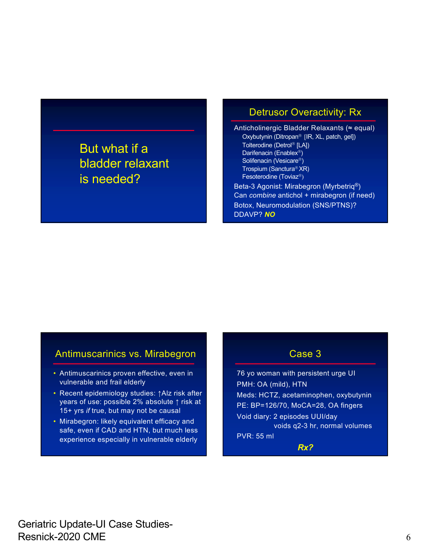## But what if a bladder relaxant is needed?

#### Detrusor Overactivity: Rx

Anticholinergic Bladder Relaxants (≈ equal) Oxybutynin (Ditropan<sup>®</sup> [IR, XL, patch, gel]) Tolterodine (Detrol<sup>®</sup> [LA]) Darifenacin (Enablex<sup>®</sup>) Solifenacin (Vesicare<sup>®</sup>) Trospium (Sanctura<sup>®</sup> XR) Fesoterodine (Toviaz<sup>®</sup>) Beta-3 Agonist: Mirabegron (Myrbetriq®) Can *combine* antichol + mirabegron (if need) Botox, Neuromodulation (SNS/PTNS)? DDAVP? *NO*

#### Antimuscarinics vs. Mirabegron

- Antimuscarinics proven effective, even in vulnerable and frail elderly
- Recent epidemiology studies: ↑Alz risk after years of use: possible 2% absolute ↑ risk at 15+ yrs *if* true, but may not be causal
- Mirabegron: likely equivalent efficacy and safe, even if CAD and HTN, but much less experience especially in vulnerable elderly

#### Case 3

76 yo woman with persistent urge UI PMH: OA (mild), HTN Meds: HCTZ, acetaminophen, oxybutynin PE: BP=126/70, MoCA=28, OA fingers Void diary: 2 episodes UUI/day voids q2-3 hr, normal volumes PVR: 55 ml

*Rx?*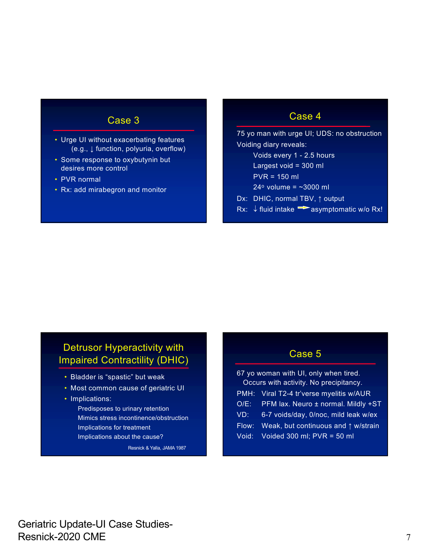- Urge UI without exacerbating features (e.g., ↓ function, polyuria, overflow)
- Some response to oxybutynin but desires more control
- PVR normal
- Rx: add mirabegron and monitor

#### Case 4

75 yo man with urge UI; UDS: no obstruction Voiding diary reveals: Voids every 1 - 2.5 hours

- Largest void = 300 ml
- PVR = 150 ml
- $24^{\circ}$  volume = ~3000 ml
- Dx: DHIC, normal TBV, ↑ output
- Rx:  $\downarrow$  fluid intake  $\rightarrow$  asymptomatic w/o Rx!

#### Detrusor Hyperactivity with Impaired Contractility (DHIC)

- Bladder is "spastic" but weak
- Most common cause of geriatric UI
- Implications:
	- Predisposes to urinary retention Mimics stress incontinence/obstruction Implications for treatment Implications about the cause?

Resnick & Yalla, JAMA 1987

#### Case 5

| 67 yo woman with UI, only when tired.<br>Occurs with activity. No precipitancy. |                                              |  |
|---------------------------------------------------------------------------------|----------------------------------------------|--|
|                                                                                 |                                              |  |
|                                                                                 | PMH: Viral T2-4 tr'verse myelitis w/AUR      |  |
| $O/E$ :                                                                         | PFM lax. Neuro ± normal. Mildly +ST          |  |
| VD:                                                                             | 6-7 voids/day, 0/noc, mild leak w/ex         |  |
| Flow:                                                                           | Weak, but continuous and $\uparrow$ w/strain |  |
| Void:                                                                           | Voided 300 ml; $PVR = 50$ ml                 |  |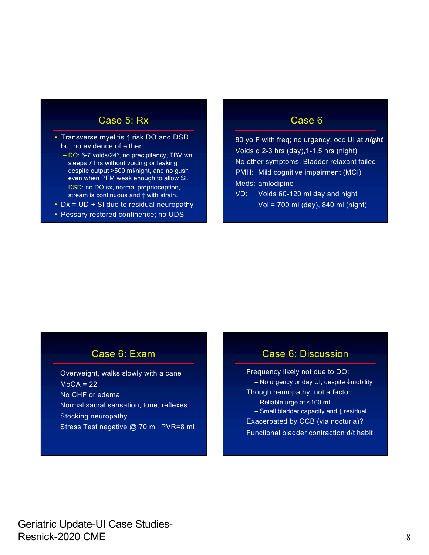#### Case 5: Rx

- Transverse myelitis ↑ risk DO and DSD but no evidence of either:
	- $-$  DO: 6-7 voids/24 $\degree$ , no precipitancy, TBV wnl, sleeps 7 hrs without voiding or leaking despite output >500 ml/night, and no gush even when PFM weak enough to allow SI.
	- DSD: no DO sx, normal proprioception, stream is continuous and ↑ with strain.
- Dx = UD + SI due to residual neuropathy
- Pessary restored continence; no UDS

#### Case 6

80 yo F with freq; no urgency; occ UI at *night* Voids q 2-3 hrs (day),1-1.5 hrs (night) No other symptoms. Bladder relaxant failed PMH: Mild cognitive impairment (MCI) Meds: amlodipine

VD: Voids 60-120 ml day and night Vol = 700 ml (day), 840 ml (night)

#### Case 6: Exam

Overweight, walks slowly with a cane  $MoCA = 22$ No CHF or edema Normal sacral sensation, tone, reflexes Stocking neuropathy Stress Test negative @ 70 ml; PVR=8 ml

#### Case 6: Discussion

Frequency likely not due to DO:  $-$  No urgency or day UI, despite  $\downarrow$  mobility Though neuropathy, not a factor: – Reliable urge at <100 ml – Small bladder capacity and ↓ residual Exacerbated by CCB (via nocturia)? Functional bladder contraction d/t habit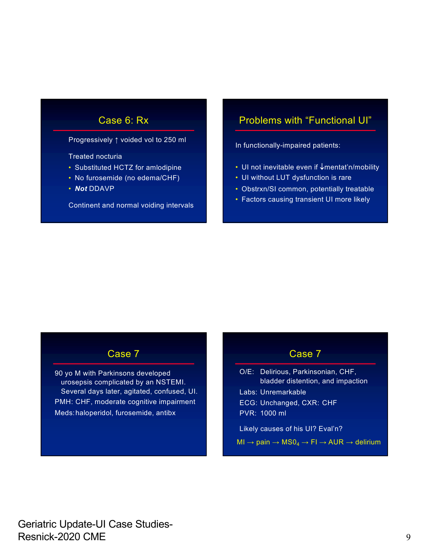#### Case 6: Rx

Progressively ↑ voided vol to 250 ml

Treated nocturia

- Substituted HCTZ for amlodipine
- No furosemide (no edema/CHF)
- *Not* DDAVP

Continent and normal voiding intervals

#### Problems with "Functional UI"

In functionally-impaired patients:

- UI not inevitable even if  $\downarrow$ mentat'n/mobility
- UI without LUT dysfunction is rare
- Obstrxn/SI common, potentially treatable
- Factors causing transient UI more likely

#### Case 7

90 yo M with Parkinsons developed urosepsis complicated by an NSTEMI. Several days later, agitated, confused, UI. PMH: CHF, moderate cognitive impairment Meds:haloperidol, furosemide, antibx

#### Case 7

O/E: Delirious, Parkinsonian, CHF, bladder distention, and impaction Labs: Unremarkable ECG: Unchanged, CXR: CHF PVR: 1000 ml Likely causes of his UI? Eval'n?

 $MI \rightarrow pain \rightarrow MS0<sub>4</sub> \rightarrow FI \rightarrow AUR \rightarrow delirium$